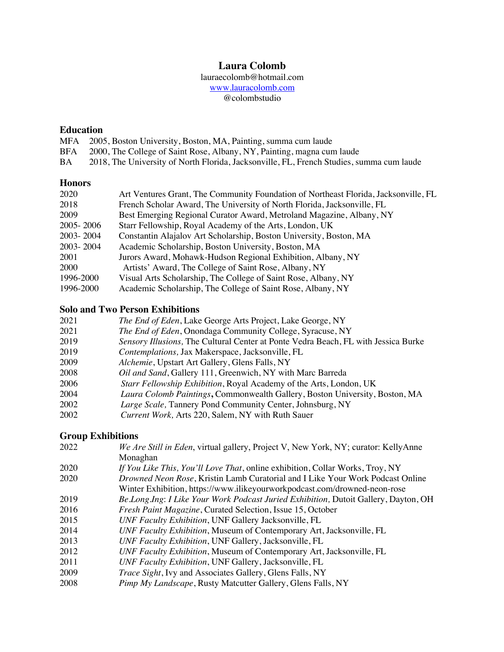## **Laura Colomb**

lauraecolomb@hotmail.com

www.lauracolomb.com

@colombstudio

# **Education**

- 2005, Boston University, Boston, MA, Painting, summa cum laude
- BFA 2000, The College of Saint Rose, Albany, NY, Painting, magna cum laude
- BA 2018, The University of North Florida, Jacksonville, FL, French Studies, summa cum laude

## **Honors**

| 2020        | Art Ventures Grant, The Community Foundation of Northeast Florida, Jacksonville, FL |
|-------------|-------------------------------------------------------------------------------------|
| 2018        | French Scholar Award, The University of North Florida, Jacksonville, FL             |
| 2009        | Best Emerging Regional Curator Award, Metroland Magazine, Albany, NY                |
| 2005 - 2006 | Starr Fellowship, Royal Academy of the Arts, London, UK                             |
| 2003-2004   | Constantin Alajalov Art Scholarship, Boston University, Boston, MA                  |
| 2003-2004   | Academic Scholarship, Boston University, Boston, MA                                 |
| 2001        | Jurors Award, Mohawk-Hudson Regional Exhibition, Albany, NY                         |
| <b>2000</b> | Artists' Award, The College of Saint Rose, Albany, NY                               |
| 1996-2000   | Visual Arts Scholarship, The College of Saint Rose, Albany, NY                      |
| 1996-2000   | Academic Scholarship, The College of Saint Rose, Albany, NY                         |

## **Solo and Two Person Exhibitions**

| 2021 | The End of Eden, Lake George Arts Project, Lake George, NY                         |
|------|------------------------------------------------------------------------------------|
| 2021 | <i>The End of Eden</i> , Onondaga Community College, Syracuse, NY                  |
| 2019 | Sensory Illusions, The Cultural Center at Ponte Vedra Beach, FL with Jessica Burke |
| 2019 | Contemplations, Jax Makerspace, Jacksonville, FL                                   |
| 2009 | Alchemie, Upstart Art Gallery, Glens Falls, NY                                     |
| 2008 | Oil and Sand, Gallery 111, Greenwich, NY with Marc Barreda                         |
| 2006 | Starr Fellowship Exhibition, Royal Academy of the Arts, London, UK                 |
| 2004 | Laura Colomb Paintings, Commonwealth Gallery, Boston University, Boston, MA        |
| 2002 | Large Scale, Tannery Pond Community Center, Johnsburg, NY                          |
| 2002 | Current Work, Arts 220, Salem, NY with Ruth Sauer                                  |

## **Group Exhibitions**

| 2022 | We Are Still in Eden, virtual gallery, Project V, New York, NY; curator: KellyAnne  |
|------|-------------------------------------------------------------------------------------|
|      | Monaghan                                                                            |
| 2020 | If You Like This, You'll Love That, online exhibition, Collar Works, Troy, NY       |
| 2020 | Drowned Neon Rose, Kristin Lamb Curatorial and I Like Your Work Podcast Online      |
|      | Winter Exhibition, https://www.ilikeyourworkpodcast.com/drowned-neon-rose           |
| 2019 | Be Long Ing: I Like Your Work Podcast Juried Exhibition, Dutoit Gallery, Dayton, OH |
| 2016 | Fresh Paint Magazine, Curated Selection, Issue 15, October                          |
| 2015 | UNF Faculty Exhibition, UNF Gallery Jacksonville, FL                                |
| 2014 | UNF Faculty Exhibition, Museum of Contemporary Art, Jacksonville, FL                |
| 2013 | UNF Faculty Exhibition, UNF Gallery, Jacksonville, FL                               |
| 2012 | UNF Faculty Exhibition, Museum of Contemporary Art, Jacksonville, FL                |
| 2011 | UNF Faculty Exhibition, UNF Gallery, Jacksonville, FL                               |
| 2009 | Trace Sight, Ivy and Associates Gallery, Glens Falls, NY                            |
| 2008 | Pimp My Landscape, Rusty Matcutter Gallery, Glens Falls, NY                         |
|      |                                                                                     |